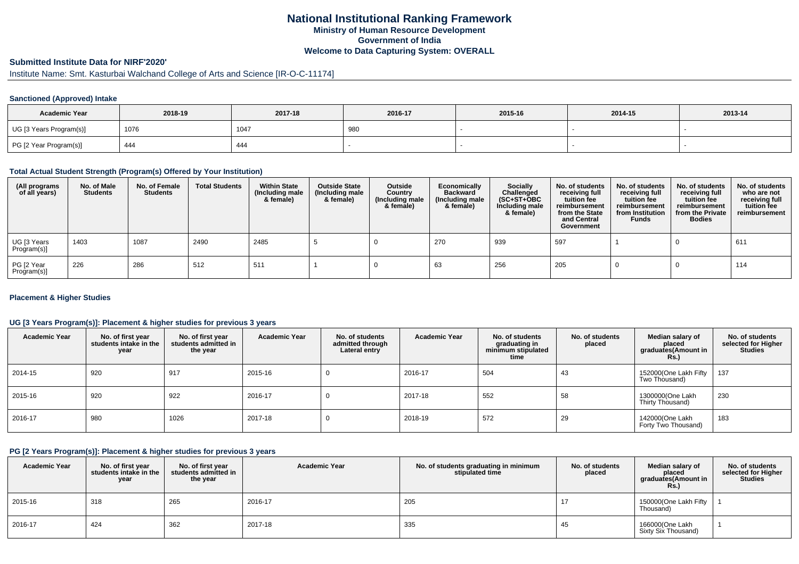## **National Institutional Ranking FrameworkMinistry of Human Resource DevelopmentGovernment of IndiaWelcome to Data Capturing System: OVERALL**

# **Submitted Institute Data for NIRF'2020'**

# Institute Name: Smt. Kasturbai Walchand College of Arts and Science [IR-O-C-11174]

### **Sanctioned (Approved) Intake**

| <b>Academic Year</b>    | 2018-19 | 2017-18 | 2016-17 | 2015-16 | 2014-15 | 2013-14 |
|-------------------------|---------|---------|---------|---------|---------|---------|
| UG [3 Years Program(s)] | 1076    | 1047    | 980     |         |         |         |
| PG [2 Year Program(s)]  | 444     | 444     |         |         |         |         |

#### **Total Actual Student Strength (Program(s) Offered by Your Institution)**

| (All programs<br>of all years) | No. of Male<br><b>Students</b> | No. of Female<br><b>Students</b> | <b>Total Students</b> | <b>Within State</b><br>(Including male<br>& female) | <b>Outside State</b><br>(Including male<br>& female) | Outside<br>Country<br>(Including male<br>& female) | Economically<br><b>Backward</b><br>(Including male<br>& female) | <b>Socially</b><br>Challenged<br>$(SC+ST+OBC)$<br>Including male<br>& female) | No. of students<br>receiving full<br>tuition fee<br>reimbursement<br>from the State<br>and Central<br>Government | No. of students<br>receiving full<br>tuition fee<br>reimbursement<br>from Institution<br><b>Funds</b> | No. of students<br>receiving full<br>tuition fee<br>reimbursement<br>from the Private<br><b>Bodies</b> | No. of students<br>who are not<br>receiving full<br>tuition fee<br>reimbursement |
|--------------------------------|--------------------------------|----------------------------------|-----------------------|-----------------------------------------------------|------------------------------------------------------|----------------------------------------------------|-----------------------------------------------------------------|-------------------------------------------------------------------------------|------------------------------------------------------------------------------------------------------------------|-------------------------------------------------------------------------------------------------------|--------------------------------------------------------------------------------------------------------|----------------------------------------------------------------------------------|
| UG [3 Years<br>Program(s)]     | 1403                           | 1087                             | 2490                  | 2485                                                |                                                      |                                                    | 270                                                             | 939                                                                           | 597                                                                                                              |                                                                                                       |                                                                                                        | 611                                                                              |
| PG [2 Year<br>Program(s)]      | 226                            | 286                              | 512                   | 511                                                 |                                                      |                                                    | 63                                                              | 256                                                                           | 205                                                                                                              |                                                                                                       |                                                                                                        | 114                                                                              |

### **Placement & Higher Studies**

### **UG [3 Years Program(s)]: Placement & higher studies for previous 3 years**

| <b>Academic Year</b> | No. of first year<br>students intake in the<br>year | No. of first vear<br>students admitted in<br>the year | <b>Academic Year</b> | No. of students<br>admitted through<br>Lateral entry | <b>Academic Year</b> | No. of students<br>graduating in<br>minimum stipulated<br>time | No. of students<br>placed | Median salary of<br>placed<br>graduates(Amount in<br><b>Rs.)</b> | No. of students<br>selected for Higher<br><b>Studies</b> |
|----------------------|-----------------------------------------------------|-------------------------------------------------------|----------------------|------------------------------------------------------|----------------------|----------------------------------------------------------------|---------------------------|------------------------------------------------------------------|----------------------------------------------------------|
| 2014-15              | 920                                                 | 917                                                   | 2015-16              | υ                                                    | 2016-17              | 504                                                            | 43                        | 152000(One Lakh Fifty<br>Two Thousand)                           | 137                                                      |
| 2015-16              | 920                                                 | 922                                                   | 2016-17              | υ                                                    | 2017-18              | 552                                                            | 58                        | 1300000(One Lakh<br>Thirty Thousand)                             | 230                                                      |
| 2016-17              | 980                                                 | 1026                                                  | 2017-18              | υ                                                    | 2018-19              | 572                                                            | 29                        | 142000(One Lakh<br>Forty Two Thousand)                           | 183                                                      |

#### **PG [2 Years Program(s)]: Placement & higher studies for previous 3 years**

| <b>Academic Year</b> | No. of first year<br>students intake in the<br>year | No. of first vear<br>students admitted in<br>the year | <b>Academic Year</b> | No. of students graduating in minimum<br>stipulated time | No. of students<br>placed | Median salary of<br>placed<br>graduates(Amount in<br>Rs.) | No. of students<br>selected for Higher<br><b>Studies</b> |
|----------------------|-----------------------------------------------------|-------------------------------------------------------|----------------------|----------------------------------------------------------|---------------------------|-----------------------------------------------------------|----------------------------------------------------------|
| 2015-16              | 318                                                 | 265                                                   | 2016-17              | 205                                                      | 17                        | 150000(One Lakh Fifty<br>Thousand)                        |                                                          |
| 2016-17              | 424                                                 | 362                                                   | 2017-18              | 335                                                      | 45                        | 166000(One Lakh<br>Sixty Six Thousand)                    |                                                          |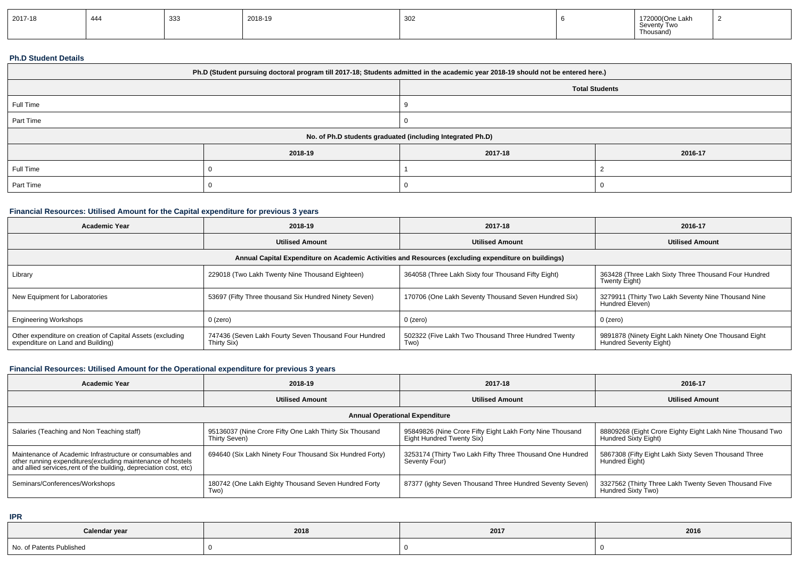| 2017-18 | $\overline{A}$<br>444 | 333 | 2018-19 | 302 |  | 172000(One Lakh<br><b>Savanty</b><br>TW<br>OCVUILLY<br>Thousand) |  |
|---------|-----------------------|-----|---------|-----|--|------------------------------------------------------------------|--|
|---------|-----------------------|-----|---------|-----|--|------------------------------------------------------------------|--|

#### **Ph.D Student Details**

| Ph.D (Student pursuing doctoral program till 2017-18; Students admitted in the academic year 2018-19 should not be entered here.) |         |         |         |  |  |  |  |
|-----------------------------------------------------------------------------------------------------------------------------------|---------|---------|---------|--|--|--|--|
| <b>Total Students</b>                                                                                                             |         |         |         |  |  |  |  |
| Full Time                                                                                                                         |         |         |         |  |  |  |  |
| Part Time                                                                                                                         |         |         |         |  |  |  |  |
| No. of Ph.D students graduated (including Integrated Ph.D)                                                                        |         |         |         |  |  |  |  |
|                                                                                                                                   | 2018-19 | 2017-18 | 2016-17 |  |  |  |  |
| Full Time                                                                                                                         |         |         |         |  |  |  |  |
| Part Time                                                                                                                         |         |         |         |  |  |  |  |

## **Financial Resources: Utilised Amount for the Capital expenditure for previous 3 years**

| <b>Academic Year</b>                                                                                 | 2018-19                                                              | 2017-18                                                     | 2016-17                                                                         |  |  |  |  |  |
|------------------------------------------------------------------------------------------------------|----------------------------------------------------------------------|-------------------------------------------------------------|---------------------------------------------------------------------------------|--|--|--|--|--|
|                                                                                                      | <b>Utilised Amount</b>                                               | <b>Utilised Amount</b>                                      | <b>Utilised Amount</b>                                                          |  |  |  |  |  |
| Annual Capital Expenditure on Academic Activities and Resources (excluding expenditure on buildings) |                                                                      |                                                             |                                                                                 |  |  |  |  |  |
| Library                                                                                              | 229018 (Two Lakh Twenty Nine Thousand Eighteen)                      | 364058 (Three Lakh Sixty four Thousand Fifty Eight)         | 363428 (Three Lakh Sixty Three Thousand Four Hundred<br>Twenty Eight)           |  |  |  |  |  |
| New Equipment for Laboratories                                                                       | 53697 (Fifty Three thousand Six Hundred Ninety Seven)                | 170706 (One Lakh Seventy Thousand Seven Hundred Six)        | 3279911 (Thirty Two Lakh Seventy Nine Thousand Nine<br>Hundred Eleven)          |  |  |  |  |  |
| <b>Engineering Workshops</b>                                                                         | 0 (zero)                                                             | 0 (zero)                                                    | 0 (zero)                                                                        |  |  |  |  |  |
| Other expenditure on creation of Capital Assets (excluding<br>expenditure on Land and Building)      | 747436 (Seven Lakh Fourty Seven Thousand Four Hundred<br>Thirty Six) | 502322 (Five Lakh Two Thousand Three Hundred Twenty<br>Two) | 9891878 (Ninety Eight Lakh Ninety One Thousand Eight)<br>Hundred Seventy Eight) |  |  |  |  |  |

# **Financial Resources: Utilised Amount for the Operational expenditure for previous 3 years**

| <b>Academic Year</b>                                                                                                                                                                            | 2018-19                                                                  | 2017-18                                                                                  | 2016-17                                                                           |  |  |  |  |  |
|-------------------------------------------------------------------------------------------------------------------------------------------------------------------------------------------------|--------------------------------------------------------------------------|------------------------------------------------------------------------------------------|-----------------------------------------------------------------------------------|--|--|--|--|--|
|                                                                                                                                                                                                 | <b>Utilised Amount</b>                                                   | <b>Utilised Amount</b>                                                                   | <b>Utilised Amount</b>                                                            |  |  |  |  |  |
| <b>Annual Operational Expenditure</b>                                                                                                                                                           |                                                                          |                                                                                          |                                                                                   |  |  |  |  |  |
| Salaries (Teaching and Non Teaching staff)                                                                                                                                                      | 95136037 (Nine Crore Fifty One Lakh Thirty Six Thousand<br>Thirty Seven) | 95849826 (Nine Crore Fifty Eight Lakh Forty Nine Thousand<br>  Eight Hundred Twenty Six) | 88809268 (Eight Crore Eighty Eight Lakh Nine Thousand Two<br>Hundred Sixty Eight) |  |  |  |  |  |
| Maintenance of Academic Infrastructure or consumables and<br>other running expenditures (excluding maintenance of hostels<br>and allied services, rent of the building, depreciation cost, etc) | 694640 (Six Lakh Ninety Four Thousand Six Hundred Forty)                 | 3253174 (Thirty Two Lakh Fifty Three Thousand One Hundred<br>Seventy Four)               | 5867308 (Fifty Eight Lakh Sixty Seven Thousand Three<br>Hundred Eight)            |  |  |  |  |  |
| Seminars/Conferences/Workshops                                                                                                                                                                  | 180742 (One Lakh Eighty Thousand Seven Hundred Forty<br>Two)             | 87377 (ighty Seven Thousand Three Hundred Seventy Seven)                                 | 3327562 (Thirty Three Lakh Twenty Seven Thousand Five<br>Hundred Sixty Two)       |  |  |  |  |  |

**IPR**

| Calendar year            | 2018 | ${\bf 2017}$ | 2016 |
|--------------------------|------|--------------|------|
| No. of Patents Published |      |              |      |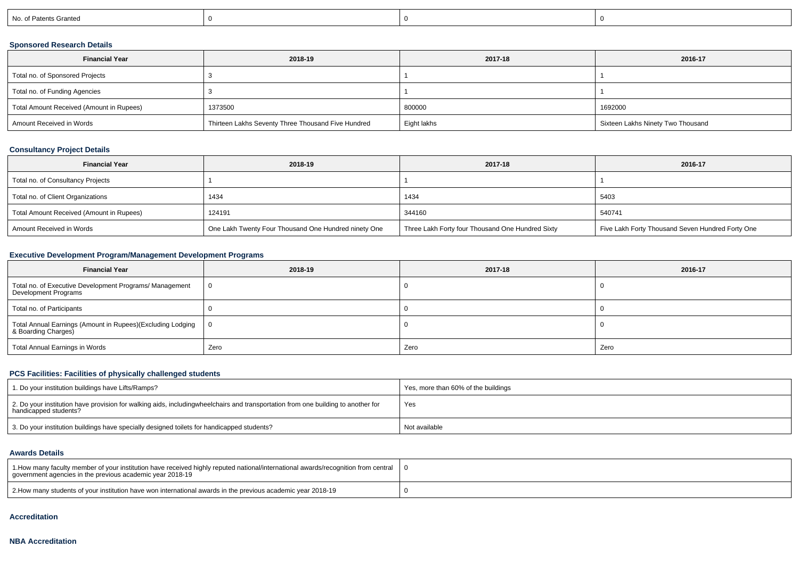| No. of Patents Granted |
|------------------------|
|------------------------|

## **Sponsored Research Details**

| <b>Financial Year</b>                    | 2018-19                                            | 2017-18     | 2016-17                           |
|------------------------------------------|----------------------------------------------------|-------------|-----------------------------------|
| Total no. of Sponsored Projects          |                                                    |             |                                   |
| Total no. of Funding Agencies            |                                                    |             |                                   |
| Total Amount Received (Amount in Rupees) | 1373500                                            | 800000      | 1692000                           |
| Amount Received in Words                 | Thirteen Lakhs Seventy Three Thousand Five Hundred | Eight lakhs | Sixteen Lakhs Ninety Two Thousand |

## **Consultancy Project Details**

| <b>Financial Year</b>                    | 2018-19                                              | 2017-18                                          | 2016-17                                          |
|------------------------------------------|------------------------------------------------------|--------------------------------------------------|--------------------------------------------------|
| Total no. of Consultancy Projects        |                                                      |                                                  |                                                  |
| Total no. of Client Organizations        | 1434                                                 | 1434                                             | 5403                                             |
| Total Amount Received (Amount in Rupees) | 124191                                               | 344160                                           | 540741                                           |
| Amount Received in Words                 | One Lakh Twenty Four Thousand One Hundred ninety One | Three Lakh Forty four Thousand One Hundred Sixty | Five Lakh Forty Thousand Seven Hundred Forty One |

## **Executive Development Program/Management Development Programs**

| <b>Financial Year</b>                                                             | 2018-19        | 2017-18 | 2016-17 |  |
|-----------------------------------------------------------------------------------|----------------|---------|---------|--|
| Total no. of Executive Development Programs/ Management<br>Development Programs   | $\overline{0}$ |         |         |  |
| Total no. of Participants                                                         |                |         |         |  |
| Total Annual Earnings (Amount in Rupees)(Excluding Lodging<br>& Boarding Charges) | - 0            |         |         |  |
| Total Annual Earnings in Words                                                    | Zero           | Zero    | Zero    |  |

## **PCS Facilities: Facilities of physically challenged students**

| 1. Do your institution buildings have Lifts/Ramps?                                                                                                        | Yes, more than 60% of the buildings |
|-----------------------------------------------------------------------------------------------------------------------------------------------------------|-------------------------------------|
| 2. Do your institution have provision for walking aids, includingwheelchairs and transportation from one building to another for<br>handicapped students? | Yes                                 |
| 3. Do your institution buildings have specially designed toilets for handicapped students?                                                                | Not available                       |

#### **Awards Details**

| 1.How many faculty member of your institution have received highly reputed national/international awards/recognition from central  <br>government agencies in the previous academic year 2018-19 |  |
|--------------------------------------------------------------------------------------------------------------------------------------------------------------------------------------------------|--|
| 2. How many students of your institution have won international awards in the previous academic year 2018-19                                                                                     |  |

#### **Accreditation**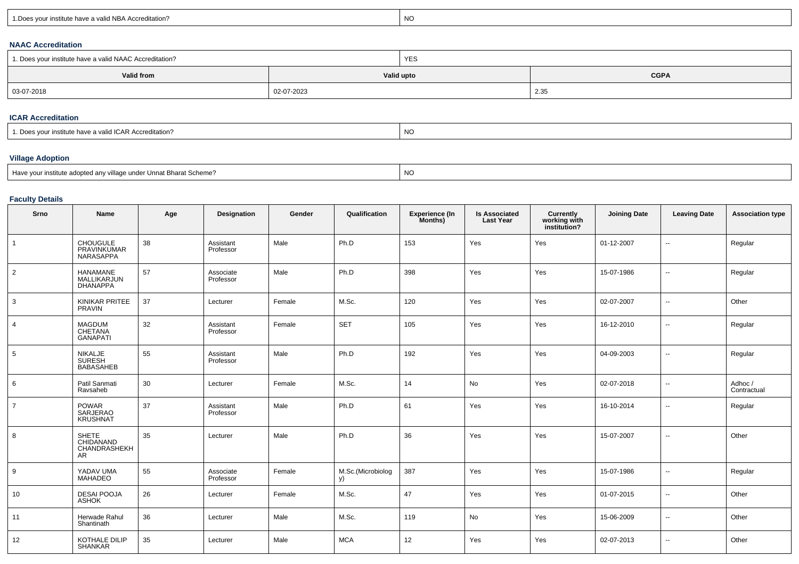| <b>DA</b><br>d NBA Accreditation?<br>∵ institute have a valiu . | NO |
|-----------------------------------------------------------------|----|
|-----------------------------------------------------------------|----|

### **NAAC Accreditation**

| 1. Does your institute have a valid NAAC Accreditation? |            | YES        |             |  |  |
|---------------------------------------------------------|------------|------------|-------------|--|--|
| Valid from                                              |            | Valid upto | <b>CGPA</b> |  |  |
| 03-07-2018                                              | 02-07-2023 |            | 2.35        |  |  |

### **ICAR Accreditation**

| ייט<br>GAR Accreditation?<br>, valic<br>r institute nave<br>. . | NC |
|-----------------------------------------------------------------|----|
|                                                                 |    |

## **Village Adoption**

| Have your institute adopted any village under Unnat Bharat Scheme? | NO |
|--------------------------------------------------------------------|----|
|                                                                    |    |

## **Faculty Details**

| Srno            | Name                                            | Age | <b>Designation</b>     | Gender | Qualification           | <b>Experience (In</b><br>Months) | <b>Is Associated</b><br><b>Last Year</b> | <b>Currently<br/>working with<br/>institution?</b> | <b>Joining Date</b> | <b>Leaving Date</b>      | <b>Association type</b> |
|-----------------|-------------------------------------------------|-----|------------------------|--------|-------------------------|----------------------------------|------------------------------------------|----------------------------------------------------|---------------------|--------------------------|-------------------------|
| $\mathbf{1}$    | CHOUGULE<br>PRAVINKUMAR<br>NARASAPPA            | 38  | Assistant<br>Professor | Male   | Ph.D                    | 153                              | Yes                                      | Yes                                                | 01-12-2007          |                          | Regular                 |
| $\overline{2}$  | HANAMANE<br>MALLIKARJUN<br><b>DHANAPPA</b>      | 57  | Associate<br>Professor | Male   | Ph.D                    | 398                              | Yes                                      | Yes                                                | 15-07-1986          | $\sim$                   | Regular                 |
| 3               | KINIKAR PRITEE<br><b>PRAVIN</b>                 | 37  | Lecturer               | Female | M.Sc.                   | 120                              | Yes                                      | Yes                                                | 02-07-2007          | $\sim$                   | Other                   |
| 4               | MAGDUM<br>CHETANA<br><b>GANAPATI</b>            | 32  | Assistant<br>Professor | Female | <b>SET</b>              | 105                              | Yes                                      | Yes                                                | 16-12-2010          | $\sim$                   | Regular                 |
| $5\phantom{.0}$ | NIKALJE<br>SURESH<br>BABASAHEB                  | 55  | Assistant<br>Professor | Male   | Ph.D                    | 192                              | Yes                                      | Yes                                                | 04-09-2003          | $\sim$                   | Regular                 |
| 6               | Patil Sanmati<br>Ravsaheb                       | 30  | Lecturer               | Female | M.Sc.                   | 14                               | No                                       | Yes                                                | 02-07-2018          | $\overline{\phantom{a}}$ | Adhoc/<br>Contractual   |
| $\overline{7}$  | <b>POWAR</b><br>SARJERAO<br><b>KRUSHNAT</b>     | 37  | Assistant<br>Professor | Male   | Ph.D                    | 61                               | Yes                                      | Yes                                                | 16-10-2014          | $\sim$                   | Regular                 |
| 8               | <b>SHETE</b><br>CHIDANAND<br>CHANDRASHEKH<br>AR | 35  | Lecturer               | Male   | Ph.D                    | 36                               | Yes                                      | Yes                                                | 15-07-2007          | $\sim$                   | Other                   |
| 9               | YADAV UMA<br>MAHADEO                            | 55  | Associate<br>Professor | Female | M.Sc.(Microbiolog<br>y) | 387                              | Yes                                      | Yes                                                | 15-07-1986          | $\overline{\phantom{a}}$ | Regular                 |
| 10              | DESAI POOJA<br>ASHOK                            | 26  | Lecturer               | Female | M.Sc.                   | 47                               | Yes                                      | Yes                                                | 01-07-2015          | $\overline{\phantom{a}}$ | Other                   |
| 11              | Herwade Rahul<br>Shantinath                     | 36  | Lecturer               | Male   | M.Sc.                   | 119                              | No                                       | Yes                                                | 15-06-2009          | $\overline{\phantom{a}}$ | Other                   |
| 12              | KOTHALE DILIP<br><b>SHANKAR</b>                 | 35  | Lecturer               | Male   | <b>MCA</b>              | 12                               | Yes                                      | Yes                                                | 02-07-2013          | $\overline{a}$           | Other                   |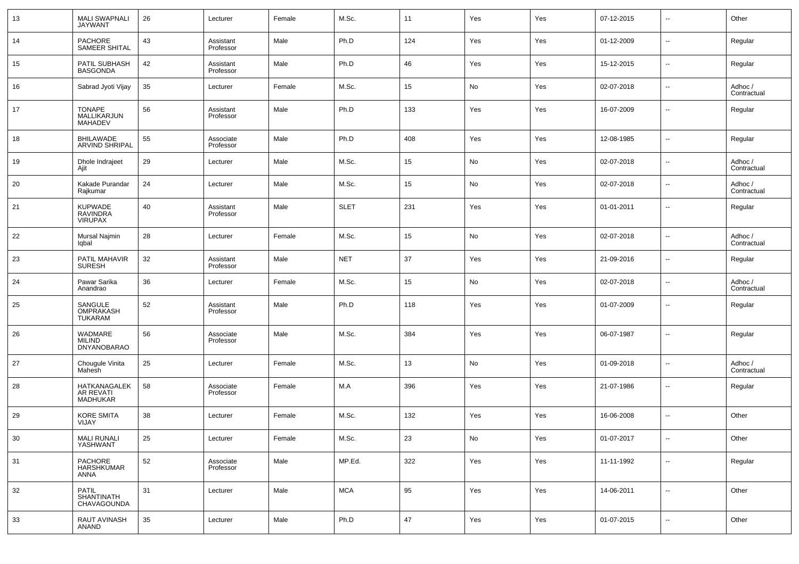| 13 | <b>MALI SWAPNALI</b><br><b>JAYWANT</b>           | 26 | Lecturer               | Female | M.Sc.       | 11     | Yes | Yes | 07-12-2015 | $\overline{\phantom{a}}$ | Other                  |
|----|--------------------------------------------------|----|------------------------|--------|-------------|--------|-----|-----|------------|--------------------------|------------------------|
| 14 | PACHORE<br>SAMEER SHITAL                         | 43 | Assistant<br>Professor | Male   | Ph.D        | 124    | Yes | Yes | 01-12-2009 | $\sim$                   | Regular                |
| 15 | PATIL SUBHASH<br><b>BASGONDA</b>                 | 42 | Assistant<br>Professor | Male   | Ph.D        | 46     | Yes | Yes | 15-12-2015 | $\overline{\phantom{a}}$ | Regular                |
| 16 | Sabrad Jyoti Vijay                               | 35 | Lecturer               | Female | M.Sc.       | 15     | No  | Yes | 02-07-2018 | $\overline{\phantom{a}}$ | Adhoc /<br>Contractual |
| 17 | TONAPE<br>MALLIKARJUN<br><b>MAHADEV</b>          | 56 | Assistant<br>Professor | Male   | Ph.D        | 133    | Yes | Yes | 16-07-2009 | $\sim$                   | Regular                |
| 18 | BHILAWADE<br><b>ARVIND SHRIPAL</b>               | 55 | Associate<br>Professor | Male   | Ph.D        | 408    | Yes | Yes | 12-08-1985 | $\overline{\phantom{a}}$ | Regular                |
| 19 | Dhole Indrajeet<br>Ajit                          | 29 | Lecturer               | Male   | M.Sc.       | 15     | No  | Yes | 02-07-2018 | $\overline{\phantom{a}}$ | Adhoc /<br>Contractual |
| 20 | Kakade Purandar<br>Rajkumar                      | 24 | Lecturer               | Male   | M.Sc.       | 15     | No  | Yes | 02-07-2018 | $\overline{\phantom{a}}$ | Adhoc /<br>Contractual |
| 21 | <b>KUPWADE</b><br>RAVINDRA<br>VIRUPAX            | 40 | Assistant<br>Professor | Male   | <b>SLET</b> | 231    | Yes | Yes | 01-01-2011 | $\overline{\phantom{a}}$ | Regular                |
| 22 | Mursal Najmin<br>lqbal                           | 28 | Lecturer               | Female | M.Sc.       | 15     | No  | Yes | 02-07-2018 | ш,                       | Adhoc /<br>Contractual |
| 23 | PATIL MAHAVIR<br><b>SURESH</b>                   | 32 | Assistant<br>Professor | Male   | <b>NET</b>  | 37     | Yes | Yes | 21-09-2016 | ш,                       | Regular                |
| 24 | Pawar Sarika<br>Anandrao                         | 36 | Lecturer               | Female | M.Sc.       | 15     | No  | Yes | 02-07-2018 | ш,                       | Adhoc /<br>Contractual |
| 25 | SANGULE<br><b>OMPRAKASH</b><br><b>TUKARAM</b>    | 52 | Assistant<br>Professor | Male   | Ph.D        | 118    | Yes | Yes | 01-07-2009 | --                       | Regular                |
| 26 | WADMARE<br><b>MILIND</b><br><b>DNYANOBARAO</b>   | 56 | Associate<br>Professor | Male   | M.Sc.       | 384    | Yes | Yes | 06-07-1987 | --                       | Regular                |
| 27 | Chougule Vinita<br>Mahesh                        | 25 | Lecturer               | Female | M.Sc.       | 13     | No  | Yes | 01-09-2018 | --                       | Adhoc /<br>Contractual |
| 28 | HATKANAGALEK<br>AR REVATI<br><b>MADHUKAR</b>     | 58 | Associate<br>Professor | Female | M.A         | 396    | Yes | Yes | 21-07-1986 | --                       | Regular                |
| 29 | KORE SMITA<br>VIJAY                              | 38 | Lecturer               | Female | M.Sc.       | 132    | Yes | Yes | 16-06-2008 | н.                       | Other                  |
| 30 | MALI RUNALI<br>YASHWANT                          | 25 | Lecturer               | Female | M.Sc.       | 23     | No  | Yes | 01-07-2017 | $\overline{\phantom{a}}$ | Other                  |
| 31 | PACHORE<br><b>HARSHKUMAR</b><br><b>ANNA</b>      | 52 | Associate<br>Professor | Male   | MP.Ed.      | 322    | Yes | Yes | 11-11-1992 | $\sim$                   | Regular                |
| 32 | <b>PATIL</b><br>SHANTINATH<br><b>CHAVAGOUNDA</b> | 31 | Lecturer               | Male   | <b>MCA</b>  | 95     | Yes | Yes | 14-06-2011 | $\sim$                   | Other                  |
| 33 | RAUT AVINASH<br>ANAND                            | 35 | Lecturer               | Male   | Ph.D        | $47\,$ | Yes | Yes | 01-07-2015 | $\overline{\phantom{a}}$ | Other                  |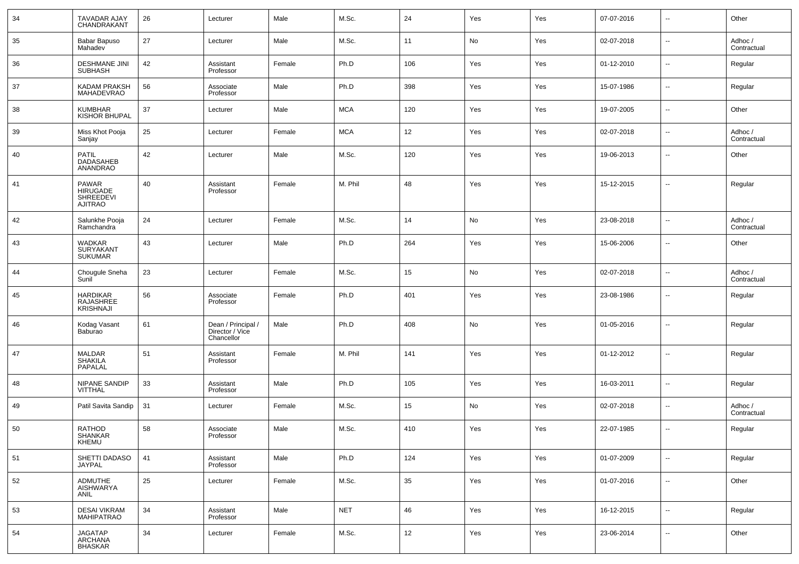| 34 | TAVADAR AJAY<br>CHANDRAKANT                             | 26 | Lecturer                                            | Male   | M.Sc.      | 24  | Yes | Yes | 07-07-2016 | $\overline{\phantom{a}}$ | Other                  |
|----|---------------------------------------------------------|----|-----------------------------------------------------|--------|------------|-----|-----|-----|------------|--------------------------|------------------------|
| 35 | Babar Bapuso<br>Mahadev                                 | 27 | Lecturer                                            | Male   | M.Sc.      | 11  | No  | Yes | 02-07-2018 | $\overline{\phantom{a}}$ | Adhoc /<br>Contractual |
| 36 | <b>DESHMANE JINI</b><br><b>SUBHASH</b>                  | 42 | Assistant<br>Professor                              | Female | Ph.D       | 106 | Yes | Yes | 01-12-2010 | $\overline{\phantom{a}}$ | Regular                |
| 37 | KADAM PRAKSH<br>MAHADEVRAO                              | 56 | Associate<br>Professor                              | Male   | Ph.D       | 398 | Yes | Yes | 15-07-1986 | -−                       | Regular                |
| 38 | KUMBHAR<br>KISHOR BHUPAL                                | 37 | Lecturer                                            | Male   | <b>MCA</b> | 120 | Yes | Yes | 19-07-2005 | $\ddotsc$                | Other                  |
| 39 | Miss Khot Pooja<br>Sanjay                               | 25 | Lecturer                                            | Female | <b>MCA</b> | 12  | Yes | Yes | 02-07-2018 | -−                       | Adhoc /<br>Contractual |
| 40 | PATIL<br>DADASAHEB<br>ANANDRAO                          | 42 | Lecturer                                            | Male   | M.Sc.      | 120 | Yes | Yes | 19-06-2013 | $\overline{\phantom{a}}$ | Other                  |
| 41 | <b>PAWAR</b><br><b>HIRUGADE</b><br>SHREEDEVI<br>AJITRAO | 40 | Assistant<br>Professor                              | Female | M. Phil    | 48  | Yes | Yes | 15-12-2015 | --                       | Regular                |
| 42 | Salunkhe Pooja<br>Ramchandra                            | 24 | Lecturer                                            | Female | M.Sc.      | 14  | No  | Yes | 23-08-2018 | -−                       | Adhoc /<br>Contractual |
| 43 | WADKAR<br>SURYAKANT<br>SUKUMAR                          | 43 | Lecturer                                            | Male   | Ph.D       | 264 | Yes | Yes | 15-06-2006 | $\overline{\phantom{a}}$ | Other                  |
| 44 | Chougule Sneha<br>Sunil                                 | 23 | Lecturer                                            | Female | M.Sc.      | 15  | No  | Yes | 02-07-2018 | -−                       | Adhoc /<br>Contractual |
| 45 | HARDIKAR<br>RAJASHREE<br><b>KRISHNAJI</b>               | 56 | Associate<br>Professor                              | Female | Ph.D       | 401 | Yes | Yes | 23-08-1986 | --                       | Regular                |
| 46 | Kodag Vasant<br>Baburao                                 | 61 | Dean / Principal /<br>Director / Vice<br>Chancellor | Male   | Ph.D       | 408 | No  | Yes | 01-05-2016 | --                       | Regular                |
| 47 | <b>MALDAR</b><br>SHAKILA<br>PAPALAL                     | 51 | Assistant<br>Professor                              | Female | M. Phil    | 141 | Yes | Yes | 01-12-2012 | $\overline{\phantom{a}}$ | Regular                |
| 48 | NIPANE SANDIP<br>VITTHAL                                | 33 | Assistant<br>Professor                              | Male   | Ph.D       | 105 | Yes | Yes | 16-03-2011 | --                       | Regular                |
| 49 | Patil Savita Sandip                                     | 31 | Lecturer                                            | Female | M.Sc.      | 15  | No  | Yes | 02-07-2018 | --                       | Adhoc /<br>Contractual |
| 50 | <b>RATHOD</b><br>SHANKAR<br>KHEMU                       | 58 | Associate<br>Professor                              | Male   | M.Sc.      | 410 | Yes | Yes | 22-07-1985 | --                       | Regular                |
| 51 | SHETTI DADASO<br>JAYPAL                                 | 41 | Assistant<br>Professor                              | Male   | Ph.D       | 124 | Yes | Yes | 01-07-2009 | $\sim$                   | Regular                |
| 52 | ADMUTHE<br>AISHWARYA<br>ANIL                            | 25 | Lecturer                                            | Female | M.Sc.      | 35  | Yes | Yes | 01-07-2016 | $\sim$                   | Other                  |
| 53 | <b>DESAI VIKRAM</b><br>MAHIPATRAO                       | 34 | Assistant<br>Professor                              | Male   | <b>NET</b> | 46  | Yes | Yes | 16-12-2015 | $\overline{\phantom{a}}$ | Regular                |
| 54 | <b>JAGATAP</b><br>ARCHANA<br>BHASKAR                    | 34 | Lecturer                                            | Female | M.Sc.      | 12  | Yes | Yes | 23-06-2014 | $\overline{\phantom{a}}$ | Other                  |